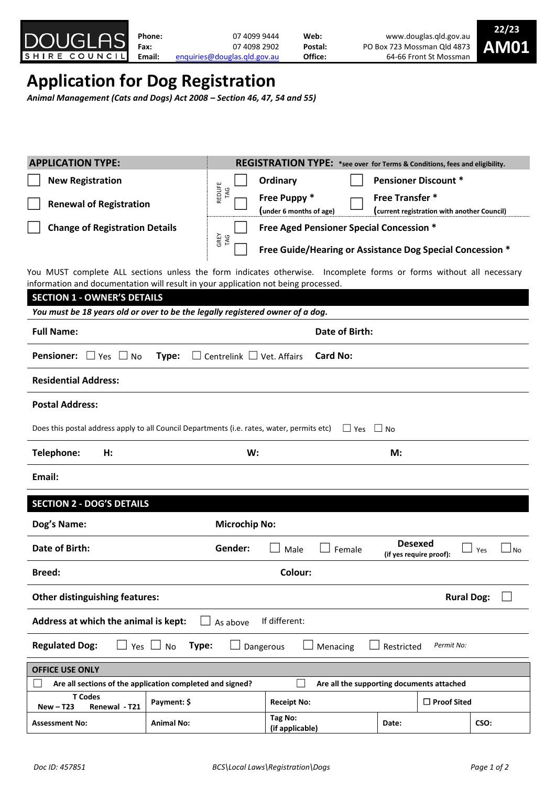

# **Application for Dog Registration**

*Animal Management (Cats and Dogs) Act 2008 – Section 46, 47, 54 and 55)*

| <b>APPLICATION TYPE:</b>                                                                                                                                                                                  |                      | REGISTRATION TYPE: *see over for Terms & Conditions, fees and eligibility.                                       |                |                             |             |  |  |
|-----------------------------------------------------------------------------------------------------------------------------------------------------------------------------------------------------------|----------------------|------------------------------------------------------------------------------------------------------------------|----------------|-----------------------------|-------------|--|--|
| <b>New Registration</b>                                                                                                                                                                                   |                      | Ordinary                                                                                                         |                | <b>Pensioner Discount *</b> |             |  |  |
| <b>Renewal of Registration</b>                                                                                                                                                                            | REDLIFE<br>TAG       | Free Puppy *<br><b>Free Transfer *</b><br>(under 6 months of age)<br>(current registration with another Council) |                |                             |             |  |  |
| <b>Change of Registration Details</b>                                                                                                                                                                     |                      | Free Aged Pensioner Special Concession *                                                                         |                |                             |             |  |  |
|                                                                                                                                                                                                           | GREY<br>TAG          | Free Guide/Hearing or Assistance Dog Special Concession *                                                        |                |                             |             |  |  |
|                                                                                                                                                                                                           |                      |                                                                                                                  |                |                             |             |  |  |
| You MUST complete ALL sections unless the form indicates otherwise. Incomplete forms or forms without all necessary<br>information and documentation will result in your application not being processed. |                      |                                                                                                                  |                |                             |             |  |  |
| <b>SECTION 1 - OWNER'S DETAILS</b>                                                                                                                                                                        |                      |                                                                                                                  |                |                             |             |  |  |
| You must be 18 years old or over to be the legally registered owner of a dog.                                                                                                                             |                      |                                                                                                                  |                |                             |             |  |  |
| <b>Full Name:</b>                                                                                                                                                                                         | Date of Birth:       |                                                                                                                  |                |                             |             |  |  |
| <b>Card No:</b><br><b>Pensioner:</b><br>$\Box$ Yes $\Box$ No<br>Type:<br>$\Box$ Centrelink $\Box$ Vet. Affairs                                                                                            |                      |                                                                                                                  |                |                             |             |  |  |
| <b>Residential Address:</b>                                                                                                                                                                               |                      |                                                                                                                  |                |                             |             |  |  |
| <b>Postal Address:</b>                                                                                                                                                                                    |                      |                                                                                                                  |                |                             |             |  |  |
| Does this postal address apply to all Council Departments (i.e. rates, water, permits etc) $\Box$ Yes                                                                                                     |                      |                                                                                                                  | $\Box$ No      |                             |             |  |  |
| Telephone:<br>H:                                                                                                                                                                                          | W:                   |                                                                                                                  | M:             |                             |             |  |  |
| Email:                                                                                                                                                                                                    |                      |                                                                                                                  |                |                             |             |  |  |
| <b>SECTION 2 - DOG'S DETAILS</b>                                                                                                                                                                          |                      |                                                                                                                  |                |                             |             |  |  |
| Dog's Name:                                                                                                                                                                                               | <b>Microchip No:</b> |                                                                                                                  |                |                             |             |  |  |
| Date of Birth:                                                                                                                                                                                            | Gender:              | Male<br>Female                                                                                                   | <b>Desexed</b> | (if yes require proof):     | l No<br>Yes |  |  |
| Colour:<br><b>Breed:</b>                                                                                                                                                                                  |                      |                                                                                                                  |                |                             |             |  |  |
| <b>Other distinguishing features:</b>                                                                                                                                                                     |                      |                                                                                                                  |                | <b>Rural Dog:</b>           |             |  |  |
| Address at which the animal is kept:<br>If different:<br>As above                                                                                                                                         |                      |                                                                                                                  |                |                             |             |  |  |
| <b>Regulated Dog:</b><br>Yes $\Box$ No<br>Type:<br>Menacing<br>Permit No:<br>Restricted<br>Dangerous                                                                                                      |                      |                                                                                                                  |                |                             |             |  |  |
| <b>OFFICE USE ONLY</b>                                                                                                                                                                                    |                      |                                                                                                                  |                |                             |             |  |  |
| Are all sections of the application completed and signed?                                                                                                                                                 |                      | Are all the supporting documents attached                                                                        |                |                             |             |  |  |
| <b>T</b> Codes<br>Payment: \$<br><b>New-T23</b><br>Renewal - T21                                                                                                                                          |                      | <b>Receipt No:</b>                                                                                               |                | $\Box$ Proof Sited          |             |  |  |
| <b>Animal No:</b><br><b>Assessment No:</b>                                                                                                                                                                |                      | Tag No:<br>(if applicable)                                                                                       | Date:          |                             | CSO:        |  |  |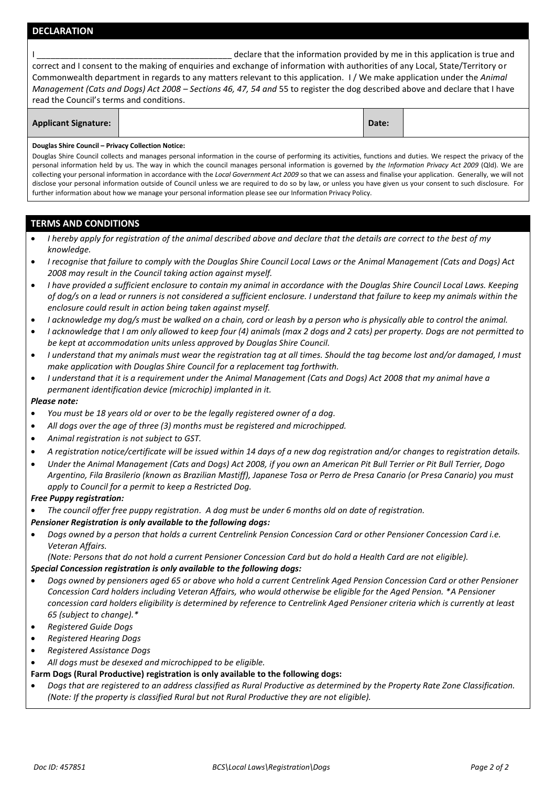# **DECLARATION**

|                                          | declare that the information provided by me in this application is true and                                                    |
|------------------------------------------|--------------------------------------------------------------------------------------------------------------------------------|
|                                          | correct and I consent to the making of enquiries and exchange of information with authorities of any Local, State/Territory or |
|                                          | Commonwealth department in regards to any matters relevant to this application. I/We make application under the Animal         |
|                                          | Management (Cats and Dogs) Act 2008 – Sections 46, 47, 54 and 55 to register the dog described above and declare that I have   |
| read the Council's terms and conditions. |                                                                                                                                |

| <b>Applicant Signature:</b><br>Date: |
|--------------------------------------|
|--------------------------------------|

#### **Douglas Shire Council – Privacy Collection Notice:**

Douglas Shire Council collects and manages personal information in the course of performing its activities, functions and duties. We respect the privacy of the personal information held by us. The way in which the council manages personal information is governed by *the Information Privacy Act 2009* (Qld). We are collecting your personal information in accordance with the *Local Government Act 2009* so that we can assess and finalise your application. Generally, we will not disclose your personal information outside of Council unless we are required to do so by law, or unless you have given us your consent to such disclosure. For further information about how we manage your personal information please see our Information Privacy Policy.

# **TERMS AND CONDITIONS**

- *I hereby apply for registration of the animal described above and declare that the details are correct to the best of my knowledge.*
- *I recognise that failure to comply with the Douglas Shire Council Local Laws or the Animal Management (Cats and Dogs) Act 2008 may result in the Council taking action against myself.*
- *I have provided a sufficient enclosure to contain my animal in accordance with the Douglas Shire Council Local Laws. Keeping of dog/s on a lead or runners is not considered a sufficient enclosure. I understand that failure to keep my animals within the enclosure could result in action being taken against myself.*
- *I acknowledge my dog/s must be walked on a chain, cord or leash by a person who is physically able to control the animal.*
- *I acknowledge that I am only allowed to keep four (4) animals (max 2 dogs and 2 cats) per property. Dogs are not permitted to be kept at accommodation units unless approved by Douglas Shire Council.*
- *I understand that my animals must wear the registration tag at all times. Should the tag become lost and/or damaged, I must make application with Douglas Shire Council for a replacement tag forthwith.*
- *I understand that it is a requirement under the Animal Management (Cats and Dogs) Act 2008 that my animal have a permanent identification device (microchip) implanted in it.*

### *Please note:*

- *You must be 18 years old or over to be the legally registered owner of a dog.*
- *All dogs over the age of three (3) months must be registered and microchipped.*
- *Animal registration is not subject to GST.*
- *A registration notice/certificate will be issued within 14 days of a new dog registration and/or changes to registration details.*
- *Under the Animal Management (Cats and Dogs) Act 2008, if you own an American Pit Bull Terrier or Pit Bull Terrier, Dogo Argentino, Fila Brasilerio (known as Brazilian Mastiff), Japanese Tosa or Perro de Presa Canario (or Presa Canario) you must apply to Council for a permit to keep a Restricted Dog.*

## *Free Puppy registration:*

- *The council offer free puppy registration. A dog must be under 6 months old on date of registration.*
- *Pensioner Registration is only available to the following dogs:*
- *Dogs owned by a person that holds a current Centrelink Pension Concession Card or other Pensioner Concession Card i.e. Veteran Affairs.*
- *(Note: Persons that do not hold a current Pensioner Concession Card but do hold a Health Card are not eligible).*

## *Special Concession registration is only available to the following dogs:*

- *Dogs owned by pensioners aged 65 or above who hold a current Centrelink Aged Pension Concession Card or other Pensioner Concession Card holders including Veteran Affairs, who would otherwise be eligible for the Aged Pension. \*A Pensioner concession card holders eligibility is determined by reference to Centrelink Aged Pensioner criteria which is currently at least 65 (subject to change).\**
- *Registered Guide Dogs*
- *Registered Hearing Dogs*
- *Registered Assistance Dogs*
- *All dogs must be desexed and microchipped to be eligible.*
- **Farm Dogs (Rural Productive) registration is only available to the following dogs:**
- *Dogs that are registered to an address classified as Rural Productive as determined by the Property Rate Zone Classification. (Note: If the property is classified Rural but not Rural Productive they are not eligible).*